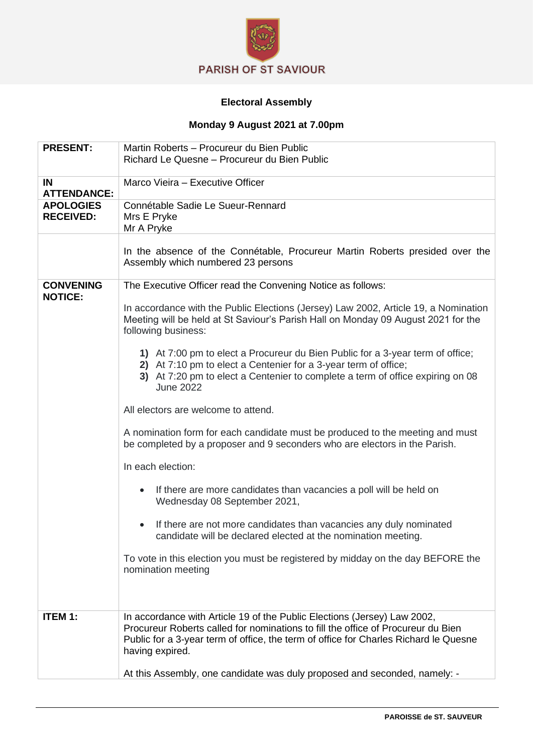

## **Electoral Assembly**

## **Monday 9 August 2021 at 7.00pm**

| <b>PRESENT:</b>                      | Martin Roberts - Procureur du Bien Public<br>Richard Le Quesne - Procureur du Bien Public                                                                                                                                                                               |
|--------------------------------------|-------------------------------------------------------------------------------------------------------------------------------------------------------------------------------------------------------------------------------------------------------------------------|
| <b>IN</b><br><b>ATTENDANCE:</b>      | Marco Vieira - Executive Officer                                                                                                                                                                                                                                        |
| <b>APOLOGIES</b><br><b>RECEIVED:</b> | Connétable Sadie Le Sueur-Rennard<br>Mrs E Pryke<br>Mr A Pryke                                                                                                                                                                                                          |
|                                      | In the absence of the Connétable, Procureur Martin Roberts presided over the<br>Assembly which numbered 23 persons                                                                                                                                                      |
| <b>CONVENING</b><br><b>NOTICE:</b>   | The Executive Officer read the Convening Notice as follows:                                                                                                                                                                                                             |
|                                      | In accordance with the Public Elections (Jersey) Law 2002, Article 19, a Nomination<br>Meeting will be held at St Saviour's Parish Hall on Monday 09 August 2021 for the<br>following business:                                                                         |
|                                      | 1) At 7:00 pm to elect a Procureur du Bien Public for a 3-year term of office;<br>2) At 7:10 pm to elect a Centenier for a 3-year term of office;<br>3) At 7:20 pm to elect a Centenier to complete a term of office expiring on 08<br><b>June 2022</b>                 |
|                                      | All electors are welcome to attend.                                                                                                                                                                                                                                     |
|                                      | A nomination form for each candidate must be produced to the meeting and must<br>be completed by a proposer and 9 seconders who are electors in the Parish.                                                                                                             |
|                                      | In each election:                                                                                                                                                                                                                                                       |
|                                      | If there are more candidates than vacancies a poll will be held on<br>Wednesday 08 September 2021,                                                                                                                                                                      |
|                                      | If there are not more candidates than vacancies any duly nominated<br>candidate will be declared elected at the nomination meeting.                                                                                                                                     |
|                                      | To vote in this election you must be registered by midday on the day BEFORE the<br>nomination meeting                                                                                                                                                                   |
| <b>ITEM 1:</b>                       | In accordance with Article 19 of the Public Elections (Jersey) Law 2002,<br>Procureur Roberts called for nominations to fill the office of Procureur du Bien<br>Public for a 3-year term of office, the term of office for Charles Richard le Quesne<br>having expired. |
|                                      | At this Assembly, one candidate was duly proposed and seconded, namely: -                                                                                                                                                                                               |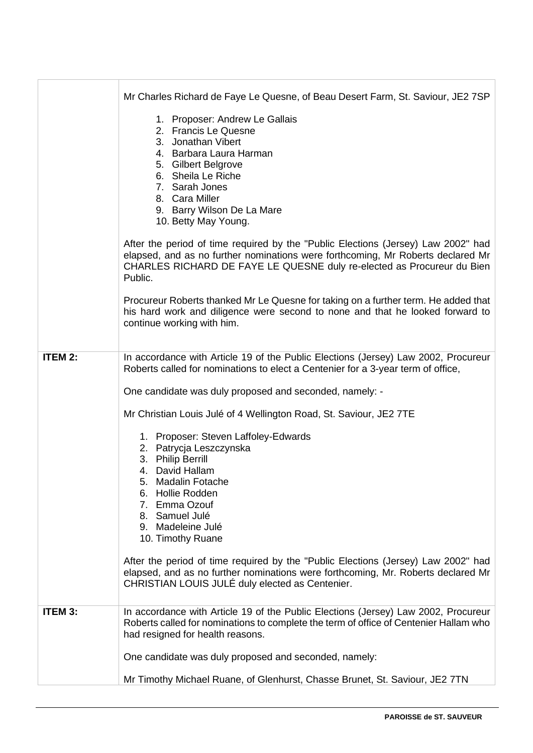|                | Mr Charles Richard de Faye Le Quesne, of Beau Desert Farm, St. Saviour, JE2 7SP                                                                                                                                                                           |
|----------------|-----------------------------------------------------------------------------------------------------------------------------------------------------------------------------------------------------------------------------------------------------------|
|                | 1. Proposer: Andrew Le Gallais<br>2. Francis Le Quesne<br>3. Jonathan Vibert<br>4. Barbara Laura Harman<br>5. Gilbert Belgrove<br>6. Sheila Le Riche<br>7. Sarah Jones<br>8. Cara Miller<br>9. Barry Wilson De La Mare<br>10. Betty May Young.            |
|                | After the period of time required by the "Public Elections (Jersey) Law 2002" had<br>elapsed, and as no further nominations were forthcoming, Mr Roberts declared Mr<br>CHARLES RICHARD DE FAYE LE QUESNE duly re-elected as Procureur du Bien<br>Public. |
|                | Procureur Roberts thanked Mr Le Quesne for taking on a further term. He added that<br>his hard work and diligence were second to none and that he looked forward to<br>continue working with him.                                                         |
| <b>ITEM 2:</b> | In accordance with Article 19 of the Public Elections (Jersey) Law 2002, Procureur<br>Roberts called for nominations to elect a Centenier for a 3-year term of office,                                                                                    |
|                | One candidate was duly proposed and seconded, namely: -                                                                                                                                                                                                   |
|                | Mr Christian Louis Julé of 4 Wellington Road, St. Saviour, JE2 7TE                                                                                                                                                                                        |
|                | 1. Proposer: Steven Laffoley-Edwards<br>2. Patrycja Leszczynska                                                                                                                                                                                           |
|                | 3. Philip Berrill<br>4. David Hallam                                                                                                                                                                                                                      |
|                | 5. Madalin Fotache<br>6. Hollie Rodden                                                                                                                                                                                                                    |
|                | 7. Emma Ozouf<br>8. Samuel Julé                                                                                                                                                                                                                           |
|                | 9. Madeleine Julé<br>10. Timothy Ruane                                                                                                                                                                                                                    |
|                | After the period of time required by the "Public Elections (Jersey) Law 2002" had<br>elapsed, and as no further nominations were forthcoming, Mr. Roberts declared Mr<br>CHRISTIAN LOUIS JULÉ duly elected as Centenier.                                  |
| <b>ITEM 3:</b> | In accordance with Article 19 of the Public Elections (Jersey) Law 2002, Procureur<br>Roberts called for nominations to complete the term of office of Centenier Hallam who<br>had resigned for health reasons.                                           |
|                | One candidate was duly proposed and seconded, namely:                                                                                                                                                                                                     |
|                | Mr Timothy Michael Ruane, of Glenhurst, Chasse Brunet, St. Saviour, JE2 7TN                                                                                                                                                                               |